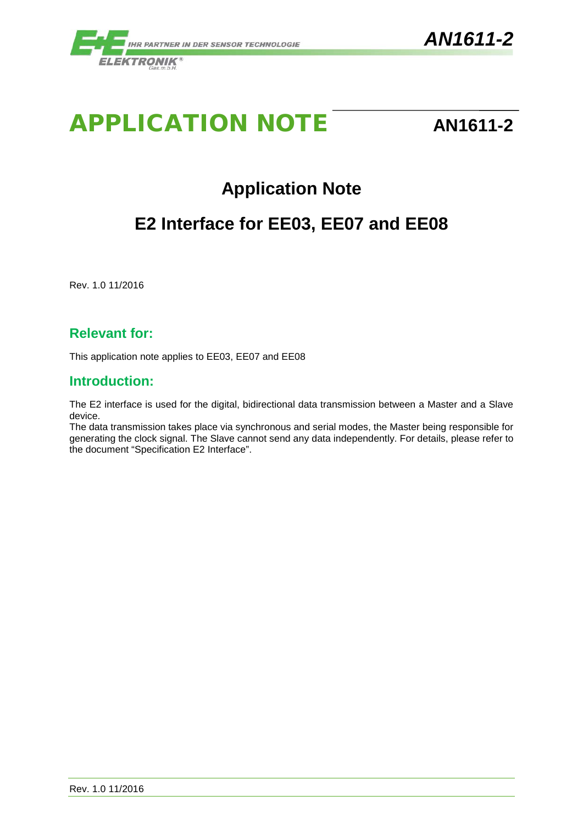# APPLICATION NOTE **AN1611-2**

## **Application Note**

## **E2 Interface for EE03, EE07 and EE08**

Rev. 1.0 11/2016

#### **Relevant for:**

This application note applies to EE03, EE07 and EE08

#### **Introduction:**

The E2 interface is used for the digital, bidirectional data transmission between a Master and a Slave device.

The data transmission takes place via synchronous and serial modes, the Master being responsible for generating the clock signal. The Slave cannot send any data independently. For details, please refer to the document "Specification E2 Interface".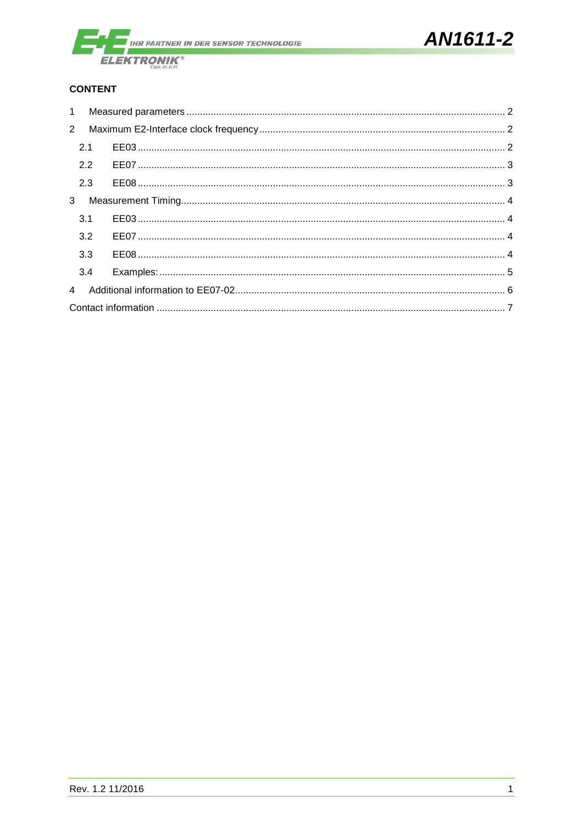

#### **CONTENT**

|  | 2.1 |  |  |  |  |
|--|-----|--|--|--|--|
|  | 2.2 |  |  |  |  |
|  | 2.3 |  |  |  |  |
|  |     |  |  |  |  |
|  | 3.1 |  |  |  |  |
|  | 3.2 |  |  |  |  |
|  | 3.3 |  |  |  |  |
|  | 3.4 |  |  |  |  |
|  |     |  |  |  |  |
|  |     |  |  |  |  |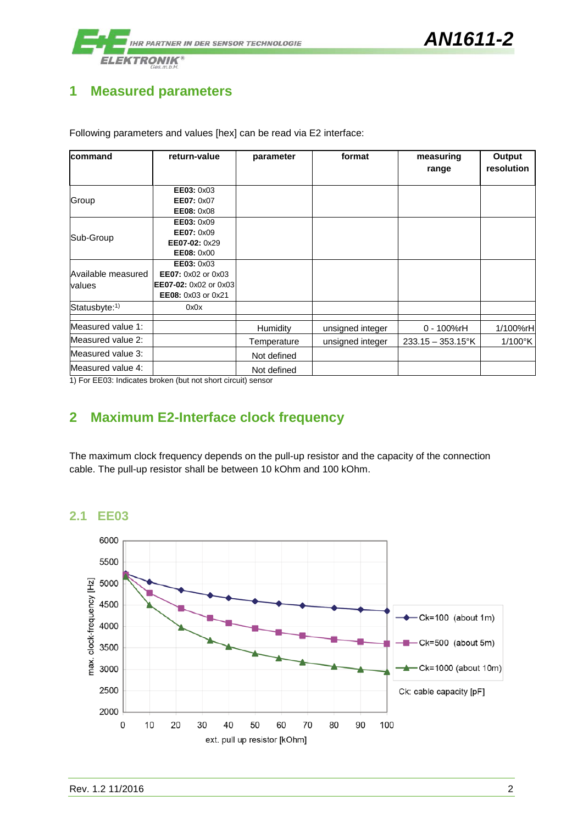

#### <span id="page-2-0"></span>**1 Measured parameters**

| <b>Icommand</b>    | return-value          | parameter   | format           | measuring<br>range   | Output<br>resolution |
|--------------------|-----------------------|-------------|------------------|----------------------|----------------------|
|                    | <b>EE03: 0x03</b>     |             |                  |                      |                      |
| Group              | EE07: 0x07            |             |                  |                      |                      |
|                    | <b>EE08: 0x08</b>     |             |                  |                      |                      |
|                    | EE03: 0x09            |             |                  |                      |                      |
| Sub-Group          | EE07: 0x09            |             |                  |                      |                      |
|                    | EE07-02: 0x29         |             |                  |                      |                      |
|                    | EE08: 0x00            |             |                  |                      |                      |
|                    | <b>EE03: 0x03</b>     |             |                  |                      |                      |
| Available measured | EE07: 0x02 or 0x03    |             |                  |                      |                      |
| values             | EE07-02: 0x02 or 0x03 |             |                  |                      |                      |
|                    | EE08: 0x03 or 0x21    |             |                  |                      |                      |
| Statusbyte:1)      | 0x0x                  |             |                  |                      |                      |
| Measured value 1:  |                       | Humidity    | unsigned integer | $0 - 100\%$ rH       | 1/100%rH             |
| Measured value 2:  |                       | Temperature | unsigned integer | $233.15 - 353.15$ °K | $1/100$ °K           |
| Measured value 3:  |                       | Not defined |                  |                      |                      |
| Measured value 4:  |                       | Not defined |                  |                      |                      |

Following parameters and values [hex] can be read via E2 interface:

<span id="page-2-1"></span>1) For EE03: Indicates broken (but not short circuit) sensor

### **2 Maximum E2-Interface clock frequency**

The maximum clock frequency depends on the pull-up resistor and the capacity of the connection cable. The pull-up resistor shall be between 10 kOhm and 100 kOhm.



#### <span id="page-2-2"></span>**2.1 EE03**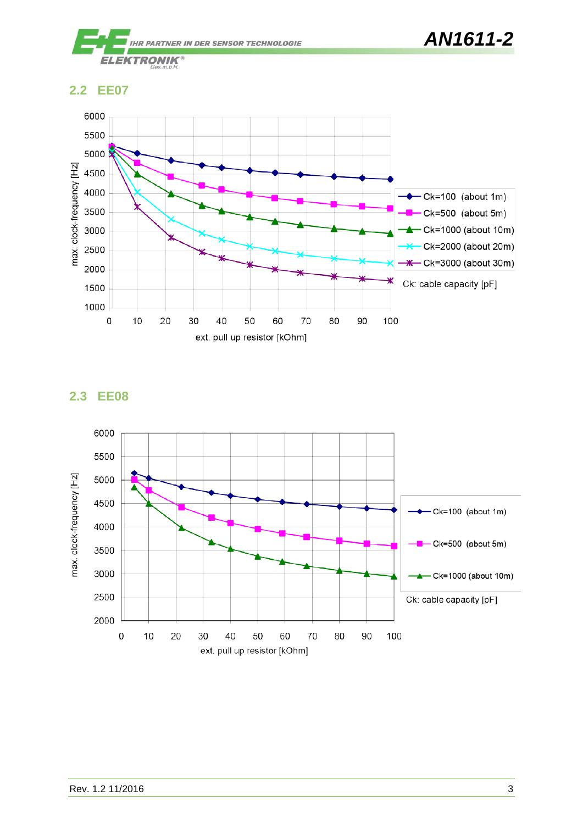

#### <span id="page-3-0"></span>**2.2 EE07**



#### <span id="page-3-1"></span>**2.3 EE08**

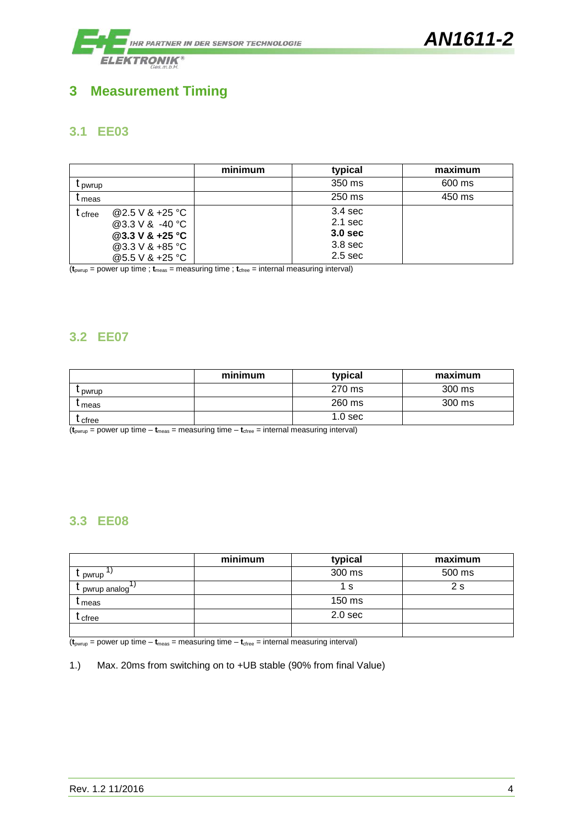

### <span id="page-4-0"></span>**3 Measurement Timing**

#### <span id="page-4-1"></span>**3.1 EE03**

|                   |                                                                                              | minimum | typical                                                                                           | maximum |
|-------------------|----------------------------------------------------------------------------------------------|---------|---------------------------------------------------------------------------------------------------|---------|
| l pwrup           |                                                                                              |         | 350 ms                                                                                            | 600 ms  |
| l meas            |                                                                                              |         | 250 ms                                                                                            | 450 ms  |
| $\mathsf t$ cfree | @ 2.5 V & +25 °C<br>@3.3 V & -40 °C<br>@3.3 V & +25 °C<br>@3.3 V & +85 °C<br>@5.5 V & +25 °C |         | 3.4 <sub>sec</sub><br>$2.1$ sec<br>3.0 <sub>sec</sub><br>3.8 <sub>sec</sub><br>2.5 <sub>sec</sub> |         |

 $(\mathbf{t}_{pwrup} =$  power up time;  $\mathbf{t}_{meas} =$  measuring time;  $\mathbf{t}_{\text{cfree}} =$  internal measuring interval)

#### <span id="page-4-2"></span>**3.2 EE07**

|         | minimum | typical            | maximum |
|---------|---------|--------------------|---------|
| · pwrup |         | 270 ms             | 300 ms  |
| meas .  |         | 260 ms             | 300 ms  |
| l cfree |         | 1.0 <sub>sec</sub> |         |

(**t**pwrup = power up time – **t**meas = measuring time – **t**cfree = internal measuring interval)

#### <span id="page-4-3"></span>**3.3 EE08**

|              | minimum | typical            | maximum |
|--------------|---------|--------------------|---------|
| pwrup        |         | 300 ms             | 500 ms  |
| pwrup analog |         | 1 s                | 2 s     |
| ∪meas        |         | 150 ms             |         |
| cfree        |         | 2.0 <sub>sec</sub> |         |
|              |         |                    |         |

 $(\mathbf{t}_{\text{pwrup}} = \text{power up time} - \mathbf{t}_{\text{meas}} = \text{measuring time} - \mathbf{t}_{\text{cfree}} = \text{internal measuring interval})$ 

1.) Max. 20ms from switching on to +UB stable (90% from final Value)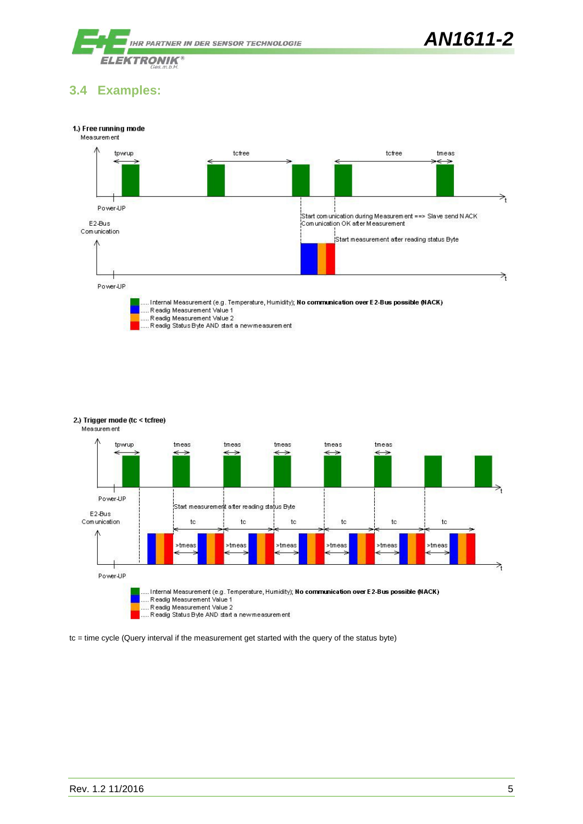

#### <span id="page-5-0"></span>**3.4 Examples:**



#### 2.) Trigger mode (tc < tcfree)



tc = time cycle (Query interval if the measurement get started with the query of the status byte)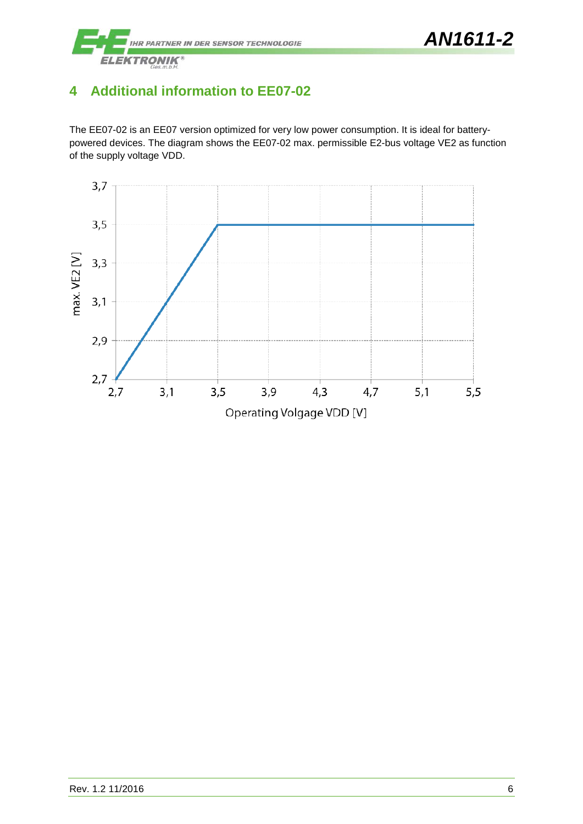

### <span id="page-6-0"></span>**4 Additional information to EE07-02**

The EE07-02 is an EE07 version optimized for very low power consumption. It is ideal for batterypowered devices. The diagram shows the EE07-02 max. permissible E2-bus voltage VE2 as function of the supply voltage VDD.